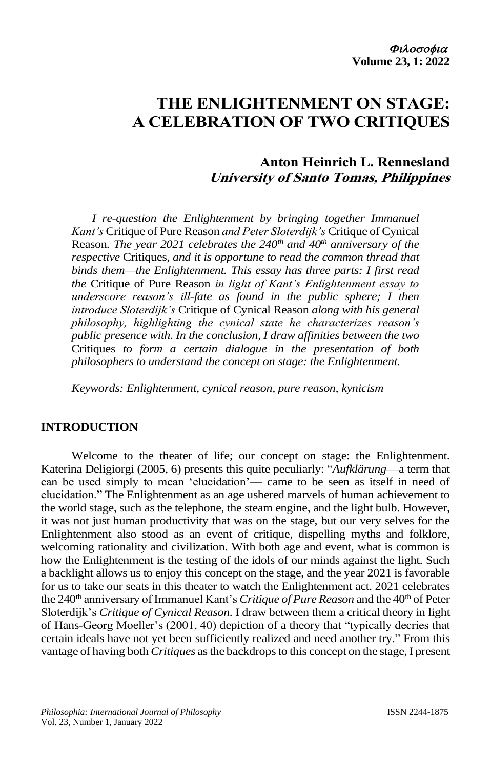# **THE ENLIGHTENMENT ON STAGE: A CELEBRATION OF TWO CRITIQUES**

# **Anton Heinrich L. Rennesland University of Santo Tomas, Philippines**

*I re-question the Enlightenment by bringing together Immanuel Kant's* Critique of Pure Reason *and Peter Sloterdijk's* Critique of Cynical Reason*. The year 2021 celebrates the 240th and 40th anniversary of the respective* Critiques*, and it is opportune to read the common thread that binds them—the Enlightenment. This essay has three parts: I first read the* Critique of Pure Reason *in light of Kant's Enlightenment essay to underscore reason's ill-fate as found in the public sphere; I then introduce Sloterdijk's* Critique of Cynical Reason *along with his general philosophy, highlighting the cynical state he characterizes reason's public presence with. In the conclusion, I draw affinities between the two*  Critiques *to form a certain dialogue in the presentation of both philosophers to understand the concept on stage: the Enlightenment.*

*Keywords: Enlightenment, cynical reason, pure reason, kynicism*

#### **INTRODUCTION**

Welcome to the theater of life; our concept on stage: the Enlightenment. Katerina Deligiorgi (2005, 6) presents this quite peculiarly: "*Aufklärung*—a term that can be used simply to mean 'elucidation'— came to be seen as itself in need of elucidation." The Enlightenment as an age ushered marvels of human achievement to the world stage, such as the telephone, the steam engine, and the light bulb. However, it was not just human productivity that was on the stage, but our very selves for the Enlightenment also stood as an event of critique, dispelling myths and folklore, welcoming rationality and civilization. With both age and event, what is common is how the Enlightenment is the testing of the idols of our minds against the light. Such a backlight allows us to enjoy this concept on the stage, and the year 2021 is favorable for us to take our seats in this theater to watch the Enlightenment act. 2021 celebrates the 240<sup>th</sup> anniversary of Immanuel Kant's *Critique of Pure Reason* and the 40<sup>th</sup> of Peter Sloterdijk's *Critique of Cynical Reason*. I draw between them a critical theory in light of Hans-Georg Moeller's (2001, 40) depiction of a theory that "typically decries that certain ideals have not yet been sufficiently realized and need another try." From this vantage of having both *Critiques* as the backdrops to this concept on the stage, I present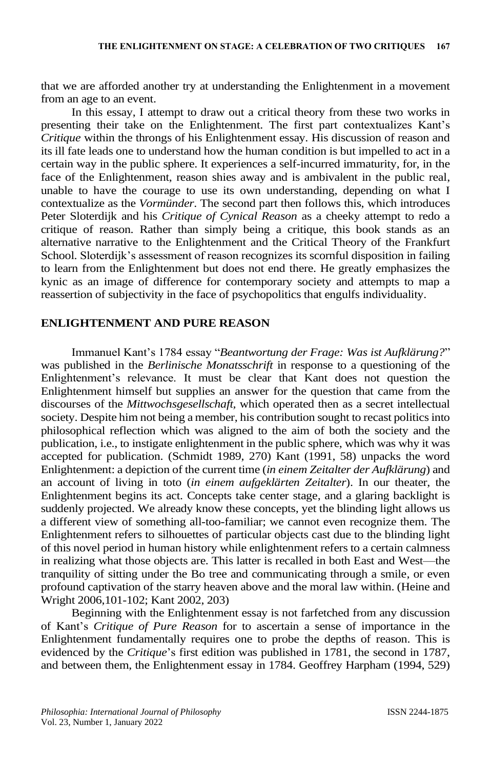that we are afforded another try at understanding the Enlightenment in a movement from an age to an event.

In this essay, I attempt to draw out a critical theory from these two works in presenting their take on the Enlightenment. The first part contextualizes Kant's *Critique* within the throngs of his Enlightenment essay. His discussion of reason and its ill fate leads one to understand how the human condition is but impelled to act in a certain way in the public sphere. It experiences a self-incurred immaturity, for, in the face of the Enlightenment, reason shies away and is ambivalent in the public real, unable to have the courage to use its own understanding, depending on what I contextualize as the *Vormünder*. The second part then follows this, which introduces Peter Sloterdijk and his *Critique of Cynical Reason* as a cheeky attempt to redo a critique of reason. Rather than simply being a critique, this book stands as an alternative narrative to the Enlightenment and the Critical Theory of the Frankfurt School. Sloterdijk's assessment of reason recognizes its scornful disposition in failing to learn from the Enlightenment but does not end there. He greatly emphasizes the kynic as an image of difference for contemporary society and attempts to map a reassertion of subjectivity in the face of psychopolitics that engulfs individuality.

#### **ENLIGHTENMENT AND PURE REASON**

Immanuel Kant's 1784 essay "*Beantwortung der Frage: Was ist Aufklärung?*" was published in the *Berlinische Monatsschrift* in response to a questioning of the Enlightenment's relevance. It must be clear that Kant does not question the Enlightenment himself but supplies an answer for the question that came from the discourses of the *Mittwochsgesellschaft,* which operated then as a secret intellectual society. Despite him not being a member, his contribution sought to recast politics into philosophical reflection which was aligned to the aim of both the society and the publication, i.e., to instigate enlightenment in the public sphere, which was why it was accepted for publication. (Schmidt 1989, 270) Kant (1991, 58) unpacks the word Enlightenment: a depiction of the current time (*in einem Zeitalter der Aufklärung*) and an account of living in toto (*in einem aufgeklärten Zeitalter*). In our theater, the Enlightenment begins its act. Concepts take center stage, and a glaring backlight is suddenly projected. We already know these concepts, yet the blinding light allows us a different view of something all-too-familiar; we cannot even recognize them. The Enlightenment refers to silhouettes of particular objects cast due to the blinding light of this novel period in human history while enlightenment refers to a certain calmness in realizing what those objects are. This latter is recalled in both East and West—the tranquility of sitting under the Bo tree and communicating through a smile, or even profound captivation of the starry heaven above and the moral law within. (Heine and Wright 2006,101-102; Kant 2002, 203)

Beginning with the Enlightenment essay is not farfetched from any discussion of Kant's *Critique of Pure Reason* for to ascertain a sense of importance in the Enlightenment fundamentally requires one to probe the depths of reason. This is evidenced by the *Critique*'s first edition was published in 1781, the second in 1787, and between them, the Enlightenment essay in 1784. Geoffrey Harpham (1994, 529)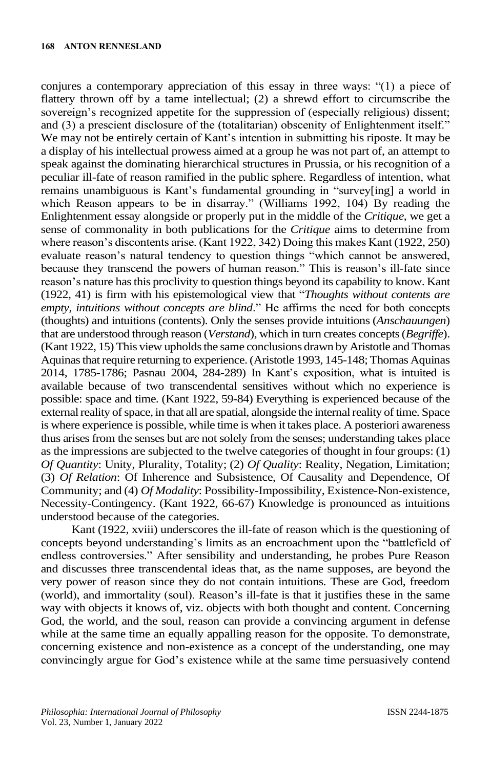conjures a contemporary appreciation of this essay in three ways: "(1) a piece of flattery thrown off by a tame intellectual; (2) a shrewd effort to circumscribe the sovereign's recognized appetite for the suppression of (especially religious) dissent; and (3) a prescient disclosure of the (totalitarian) obscenity of Enlightenment itself." We may not be entirely certain of Kant's intention in submitting his riposte. It may be a display of his intellectual prowess aimed at a group he was not part of, an attempt to speak against the dominating hierarchical structures in Prussia, or his recognition of a peculiar ill-fate of reason ramified in the public sphere. Regardless of intention, what remains unambiguous is Kant's fundamental grounding in "survey[ing] a world in which Reason appears to be in disarray." (Williams 1992, 104) By reading the Enlightenment essay alongside or properly put in the middle of the *Critique*, we get a sense of commonality in both publications for the *Critique* aims to determine from where reason's discontents arise. (Kant 1922, 342) Doing this makes Kant (1922, 250) evaluate reason's natural tendency to question things "which cannot be answered, because they transcend the powers of human reason." This is reason's ill-fate since reason's nature has this proclivity to question things beyond its capability to know. Kant (1922, 41) is firm with his epistemological view that "*Thoughts without contents are empty, intuitions without concepts are blind*." He affirms the need for both concepts (thoughts) and intuitions (contents). Only the senses provide intuitions (*Anschauungen*) that are understood through reason (*Verstand*), which in turn creates concepts (*Begriffe*). (Kant 1922, 15) This view upholds the same conclusions drawn by Aristotle and Thomas Aquinas that require returning to experience. (Aristotle 1993, 145-148; Thomas Aquinas 2014, 1785-1786; Pasnau 2004, 284-289) In Kant's exposition, what is intuited is available because of two transcendental sensitives without which no experience is possible: space and time. (Kant 1922, 59-84) Everything is experienced because of the external reality of space, in that all are spatial, alongside the internal reality of time. Space is where experience is possible, while time is when it takes place. A posteriori awareness thus arises from the senses but are not solely from the senses; understanding takes place as the impressions are subjected to the twelve categories of thought in four groups: (1) *Of Quantity*: Unity, Plurality, Totality; (2) *Of Quality*: Reality, Negation, Limitation; (3) *Of Relation*: Of Inherence and Subsistence, Of Causality and Dependence, Of Community; and (4) *Of Modality*: Possibility-Impossibility, Existence-Non-existence, Necessity-Contingency. (Kant 1922, 66-67) Knowledge is pronounced as intuitions understood because of the categories.

Kant (1922, xviii) underscores the ill-fate of reason which is the questioning of concepts beyond understanding's limits as an encroachment upon the "battlefield of endless controversies." After sensibility and understanding, he probes Pure Reason and discusses three transcendental ideas that, as the name supposes, are beyond the very power of reason since they do not contain intuitions. These are God, freedom (world), and immortality (soul). Reason's ill-fate is that it justifies these in the same way with objects it knows of, viz. objects with both thought and content. Concerning God, the world, and the soul, reason can provide a convincing argument in defense while at the same time an equally appalling reason for the opposite. To demonstrate, concerning existence and non-existence as a concept of the understanding, one may convincingly argue for God's existence while at the same time persuasively contend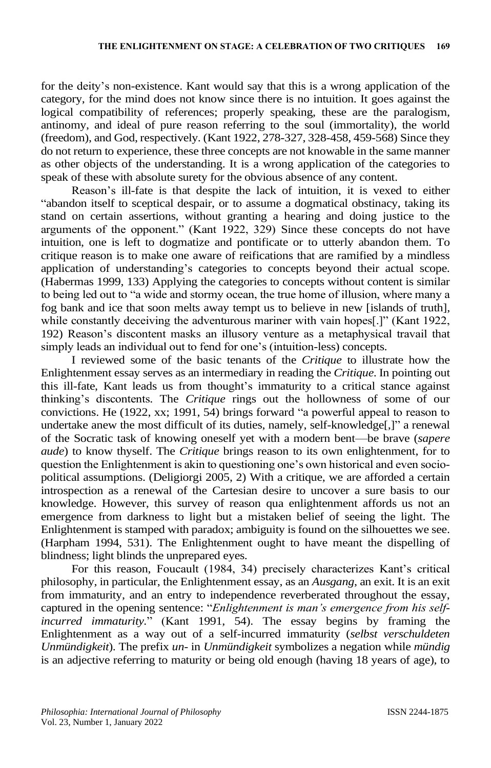for the deity's non-existence. Kant would say that this is a wrong application of the category, for the mind does not know since there is no intuition. It goes against the logical compatibility of references; properly speaking, these are the paralogism, antinomy, and ideal of pure reason referring to the soul (immortality), the world (freedom), and God, respectively. (Kant 1922, 278-327, 328-458, 459-568) Since they do not return to experience, these three concepts are not knowable in the same manner as other objects of the understanding. It is a wrong application of the categories to speak of these with absolute surety for the obvious absence of any content.

Reason's ill-fate is that despite the lack of intuition, it is vexed to either "abandon itself to sceptical despair, or to assume a dogmatical obstinacy, taking its stand on certain assertions, without granting a hearing and doing justice to the arguments of the opponent." (Kant 1922, 329) Since these concepts do not have intuition, one is left to dogmatize and pontificate or to utterly abandon them. To critique reason is to make one aware of reifications that are ramified by a mindless application of understanding's categories to concepts beyond their actual scope. (Habermas 1999, 133) Applying the categories to concepts without content is similar to being led out to "a wide and stormy ocean, the true home of illusion, where many a fog bank and ice that soon melts away tempt us to believe in new [islands of truth], while constantly deceiving the adventurous mariner with vain hopes[.]" (Kant 1922, 192) Reason's discontent masks an illusory venture as a metaphysical travail that simply leads an individual out to fend for one's (intuition-less) concepts.

I reviewed some of the basic tenants of the *Critique* to illustrate how the Enlightenment essay serves as an intermediary in reading the *Critique*. In pointing out this ill-fate, Kant leads us from thought's immaturity to a critical stance against thinking's discontents. The *Critique* rings out the hollowness of some of our convictions. He (1922, xx; 1991, 54) brings forward "a powerful appeal to reason to undertake anew the most difficult of its duties, namely, self-knowledge[,]" a renewal of the Socratic task of knowing oneself yet with a modern bent—be brave (*sapere aude*) to know thyself. The *Critique* brings reason to its own enlightenment, for to question the Enlightenment is akin to questioning one's own historical and even sociopolitical assumptions. (Deligiorgi 2005, 2) With a critique, we are afforded a certain introspection as a renewal of the Cartesian desire to uncover a sure basis to our knowledge. However, this survey of reason qua enlightenment affords us not an emergence from darkness to light but a mistaken belief of seeing the light. The Enlightenment is stamped with paradox; ambiguity is found on the silhouettes we see. (Harpham 1994, 531). The Enlightenment ought to have meant the dispelling of blindness; light blinds the unprepared eyes.

For this reason, Foucault (1984, 34) precisely characterizes Kant's critical philosophy, in particular, the Enlightenment essay, as an *Ausgang*, an exit. It is an exit from immaturity, and an entry to independence reverberated throughout the essay, captured in the opening sentence: "*Enlightenment is man's emergence from his selfincurred immaturity.*" (Kant 1991, 54). The essay begins by framing the Enlightenment as a way out of a self-incurred immaturity (*selbst verschuldeten Unmündigkeit*). The prefix *un-* in *Unmündigkeit* symbolizes a negation while *mündig*  is an adjective referring to maturity or being old enough (having 18 years of age), to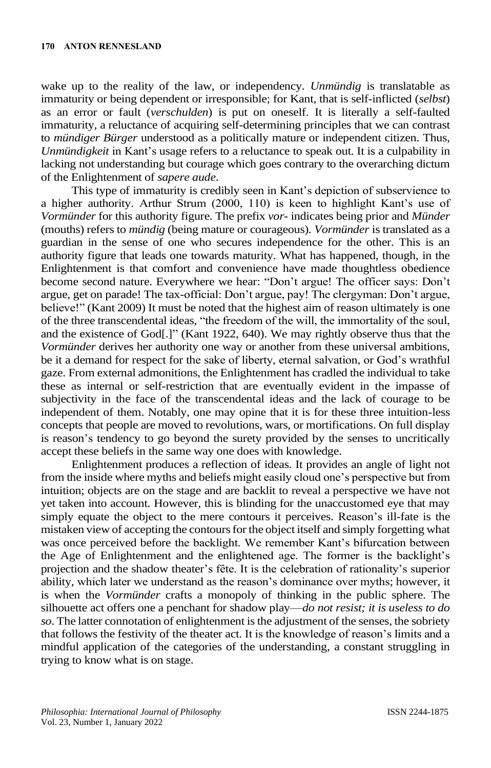wake up to the reality of the law, or independency. *Unmündig* is translatable as immaturity or being dependent or irresponsible; for Kant, that is self-inflicted (*selbst*) as an error or fault (*verschulden*) is put on oneself. It is literally a self-faulted immaturity, a reluctance of acquiring self-determining principles that we can contrast to *mündiger Bürger* understood as a politically mature or independent citizen. Thus, *Unmündigkeit* in Kant's usage refers to a reluctance to speak out. It is a culpability in lacking not understanding but courage which goes contrary to the overarching dictum of the Enlightenment of *sapere aude*.

This type of immaturity is credibly seen in Kant's depiction of subservience to a higher authority. Arthur Strum (2000, 110) is keen to highlight Kant's use of *Vormünder* for this authority figure. The prefix *vor-* indicates being prior and *Münder* (mouths) refers to *mündig* (being mature or courageous). *Vormünder* is translated as a guardian in the sense of one who secures independence for the other. This is an authority figure that leads one towards maturity. What has happened, though, in the Enlightenment is that comfort and convenience have made thoughtless obedience become second nature. Everywhere we hear: "Don't argue! The officer says: Don't argue, get on parade! The tax-official: Don't argue, pay! The clergyman: Don't argue, believe!" (Kant 2009) It must be noted that the highest aim of reason ultimately is one of the three transcendental ideas, "the freedom of the will, the immortality of the soul, and the existence of God[.]" (Kant 1922, 640). We may rightly observe thus that the *Vormünder* derives her authority one way or another from these universal ambitions, be it a demand for respect for the sake of liberty, eternal salvation, or God's wrathful gaze. From external admonitions, the Enlightenment has cradled the individual to take these as internal or self-restriction that are eventually evident in the impasse of subjectivity in the face of the transcendental ideas and the lack of courage to be independent of them. Notably, one may opine that it is for these three intuition-less concepts that people are moved to revolutions, wars, or mortifications. On full display is reason's tendency to go beyond the surety provided by the senses to uncritically accept these beliefs in the same way one does with knowledge.

Enlightenment produces a reflection of ideas. It provides an angle of light not from the inside where myths and beliefs might easily cloud one's perspective but from intuition; objects are on the stage and are backlit to reveal a perspective we have not yet taken into account. However, this is blinding for the unaccustomed eye that may simply equate the object to the mere contours it perceives. Reason's ill-fate is the mistaken view of accepting the contours for the object itself and simply forgetting what was once perceived before the backlight. We remember Kant's bifurcation between the Age of Enlightenment and the enlightened age. The former is the backlight's projection and the shadow theater's fête. It is the celebration of rationality's superior ability, which later we understand as the reason's dominance over myths; however, it is when the *Vormünder* crafts a monopoly of thinking in the public sphere. The silhouette act offers one a penchant for shadow play—*do not resist; it is useless to do so*. The latter connotation of enlightenment is the adjustment of the senses, the sobriety that follows the festivity of the theater act. It is the knowledge of reason's limits and a mindful application of the categories of the understanding, a constant struggling in trying to know what is on stage.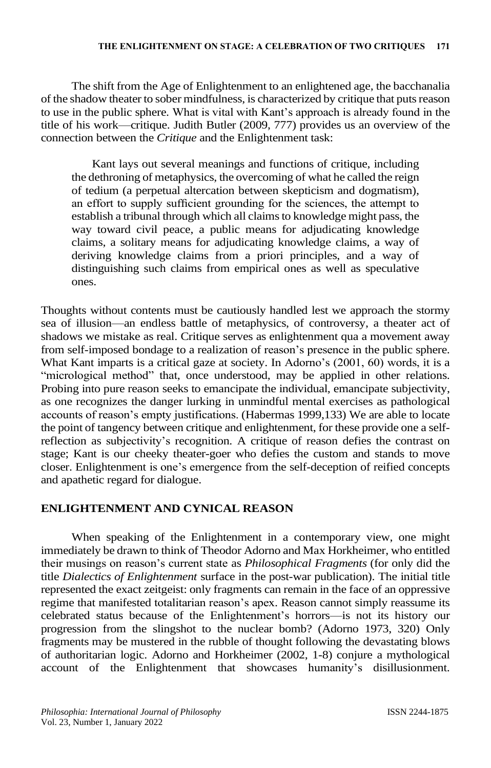The shift from the Age of Enlightenment to an enlightened age, the bacchanalia of the shadow theater to sober mindfulness, is characterized by critique that puts reason to use in the public sphere. What is vital with Kant's approach is already found in the title of his work—critique. Judith Butler (2009, 777) provides us an overview of the connection between the *Critique* and the Enlightenment task:

Kant lays out several meanings and functions of critique, including the dethroning of metaphysics, the overcoming of what he called the reign of tedium (a perpetual altercation between skepticism and dogmatism), an effort to supply sufficient grounding for the sciences, the attempt to establish a tribunal through which all claims to knowledge might pass, the way toward civil peace, a public means for adjudicating knowledge claims, a solitary means for adjudicating knowledge claims, a way of deriving knowledge claims from a priori principles, and a way of distinguishing such claims from empirical ones as well as speculative ones.

Thoughts without contents must be cautiously handled lest we approach the stormy sea of illusion—an endless battle of metaphysics, of controversy, a theater act of shadows we mistake as real. Critique serves as enlightenment qua a movement away from self-imposed bondage to a realization of reason's presence in the public sphere. What Kant imparts is a critical gaze at society. In Adorno's (2001, 60) words, it is a "micrological method" that, once understood, may be applied in other relations. Probing into pure reason seeks to emancipate the individual, emancipate subjectivity, as one recognizes the danger lurking in unmindful mental exercises as pathological accounts of reason's empty justifications. (Habermas 1999,133) We are able to locate the point of tangency between critique and enlightenment, for these provide one a selfreflection as subjectivity's recognition. A critique of reason defies the contrast on stage; Kant is our cheeky theater-goer who defies the custom and stands to move closer. Enlightenment is one's emergence from the self-deception of reified concepts and apathetic regard for dialogue.

## **ENLIGHTENMENT AND CYNICAL REASON**

When speaking of the Enlightenment in a contemporary view, one might immediately be drawn to think of Theodor Adorno and Max Horkheimer, who entitled their musings on reason's current state as *Philosophical Fragments* (for only did the title *Dialectics of Enlightenment* surface in the post-war publication). The initial title represented the exact zeitgeist: only fragments can remain in the face of an oppressive regime that manifested totalitarian reason's apex. Reason cannot simply reassume its celebrated status because of the Enlightenment's horrors—is not its history our progression from the slingshot to the nuclear bomb? (Adorno 1973, 320) Only fragments may be mustered in the rubble of thought following the devastating blows of authoritarian logic. Adorno and Horkheimer (2002, 1-8) conjure a mythological account of the Enlightenment that showcases humanity's disillusionment.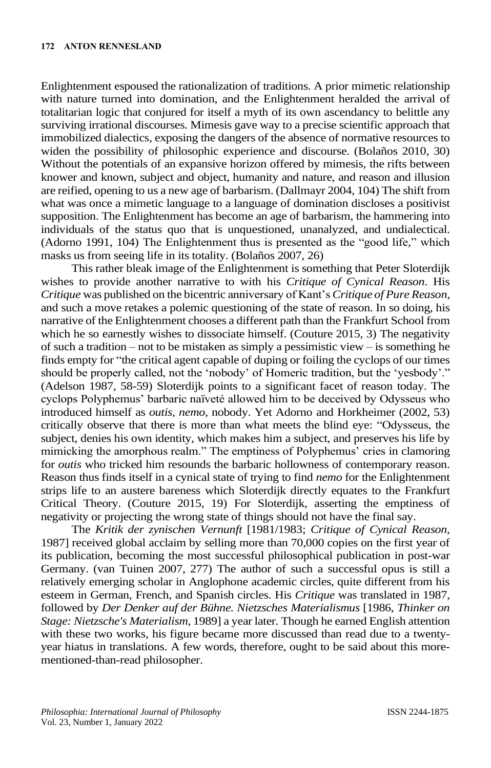Enlightenment espoused the rationalization of traditions. A prior mimetic relationship with nature turned into domination, and the Enlightenment heralded the arrival of totalitarian logic that conjured for itself a myth of its own ascendancy to belittle any surviving irrational discourses. Mimesis gave way to a precise scientific approach that immobilized dialectics, exposing the dangers of the absence of normative resources to widen the possibility of philosophic experience and discourse. (Bolaños 2010, 30) Without the potentials of an expansive horizon offered by mimesis, the rifts between knower and known, subject and object, humanity and nature, and reason and illusion are reified, opening to us a new age of barbarism. (Dallmayr 2004, 104) The shift from what was once a mimetic language to a language of domination discloses a positivist supposition. The Enlightenment has become an age of barbarism, the hammering into individuals of the status quo that is unquestioned, unanalyzed, and undialectical. (Adorno 1991, 104) The Enlightenment thus is presented as the "good life," which masks us from seeing life in its totality. (Bolaños 2007, 26)

This rather bleak image of the Enlightenment is something that Peter Sloterdijk wishes to provide another narrative to with his *Critique of Cynical Reason*. His *Critique* was published on the bicentric anniversary of Kant's *Critique of Pure Reason,* and such a move retakes a polemic questioning of the state of reason. In so doing, his narrative of the Enlightenment chooses a different path than the Frankfurt School from which he so earnestly wishes to dissociate himself. (Couture 2015, 3) The negativity of such a tradition – not to be mistaken as simply a pessimistic view – is something he finds empty for "the critical agent capable of duping or foiling the cyclops of our times should be properly called, not the 'nobody' of Homeric tradition, but the 'yesbody'." (Adelson 1987, 58-59) Sloterdijk points to a significant facet of reason today. The cyclops Polyphemus' barbaric naïveté allowed him to be deceived by Odysseus who introduced himself as *outis, nemo*, nobody. Yet Adorno and Horkheimer (2002, 53) critically observe that there is more than what meets the blind eye: "Odysseus, the subject, denies his own identity, which makes him a subject, and preserves his life by mimicking the amorphous realm." The emptiness of Polyphemus' cries in clamoring for *outis* who tricked him resounds the barbaric hollowness of contemporary reason. Reason thus finds itself in a cynical state of trying to find *nemo* for the Enlightenment strips life to an austere bareness which Sloterdijk directly equates to the Frankfurt Critical Theory. (Couture 2015, 19) For Sloterdijk, asserting the emptiness of negativity or projecting the wrong state of things should not have the final say.

The *Kritik der zynischen Vernunft* [1981/1983; *Critique of Cynical Reason*, 1987] received global acclaim by selling more than 70,000 copies on the first year of its publication, becoming the most successful philosophical publication in post-war Germany. (van Tuinen 2007, 277) The author of such a successful opus is still a relatively emerging scholar in Anglophone academic circles, quite different from his esteem in German, French, and Spanish circles. His *Critique* was translated in 1987, followed by *Der Denker auf der Bühne. Nietzsches Materialismus* [1986, *Thinker on Stage: Nietzsche's Materialism*, 1989] a year later. Though he earned English attention with these two works, his figure became more discussed than read due to a twentyyear hiatus in translations. A few words, therefore, ought to be said about this morementioned-than-read philosopher.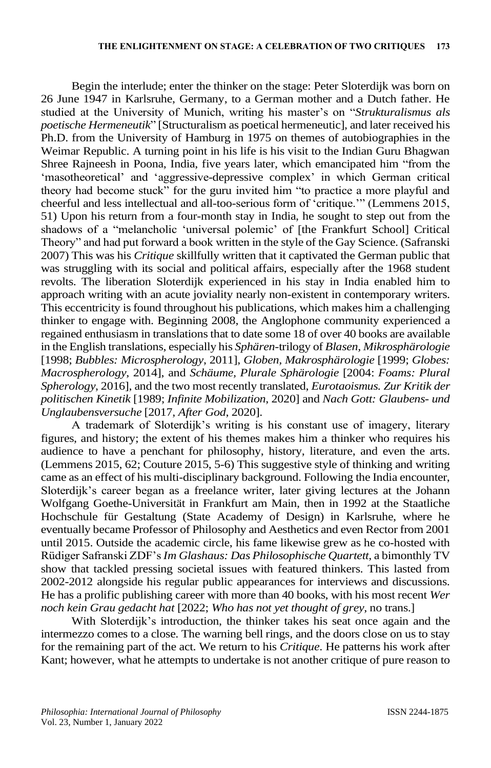Begin the interlude; enter the thinker on the stage: Peter Sloterdijk was born on 26 June 1947 in Karlsruhe, Germany, to a German mother and a Dutch father. He studied at the University of Munich, writing his master's on "*Strukturalismus als poetische Hermeneutik*" [Structuralism as poetical hermeneutic], and later received his Ph.D. from the University of Hamburg in 1975 on themes of autobiographies in the Weimar Republic. A turning point in his life is his visit to the Indian Guru Bhagwan Shree Rajneesh in Poona, India, five years later, which emancipated him "from the 'masotheoretical' and 'aggressive-depressive complex' in which German critical theory had become stuck" for the guru invited him "to practice a more playful and cheerful and less intellectual and all-too-serious form of 'critique.'" (Lemmens 2015, 51) Upon his return from a four-month stay in India, he sought to step out from the shadows of a "melancholic 'universal polemic' of [the Frankfurt School] Critical Theory" and had put forward a book written in the style of the Gay Science. (Safranski 2007) This was his *Critique* skillfully written that it captivated the German public that was struggling with its social and political affairs, especially after the 1968 student revolts. The liberation Sloterdijk experienced in his stay in India enabled him to approach writing with an acute joviality nearly non-existent in contemporary writers. This eccentricity is found throughout his publications, which makes him a challenging thinker to engage with. Beginning 2008, the Anglophone community experienced a regained enthusiasm in translations that to date some 18 of over 40 books are available in the English translations, especially his *Sphären*-trilogy of *Blasen, Mikrosphärologie*  [1998; *Bubbles: Microspherology*, 2011], *Globen, Makrosphärologie* [1999; *Globes: Macrospherology*, 2014], and *Schäume, Plurale Sphärologie* [2004: *Foams: Plural Spherology*, 2016], and the two most recently translated, *Eurotaoismus. Zur Kritik der politischen Kinetik* [1989; *Infinite Mobilization*, 2020] and *Nach Gott: Glaubens- und Unglaubensversuche* [2017, *After God*, 2020].

A trademark of Sloterdijk's writing is his constant use of imagery, literary figures, and history; the extent of his themes makes him a thinker who requires his audience to have a penchant for philosophy, history, literature, and even the arts. (Lemmens 2015, 62; Couture 2015, 5-6) This suggestive style of thinking and writing came as an effect of his multi-disciplinary background. Following the India encounter, Sloterdijk's career began as a freelance writer, later giving lectures at the Johann Wolfgang Goethe-Universität in Frankfurt am Main, then in 1992 at the Staatliche Hochschule für Gestaltung (State Academy of Design) in Karlsruhe, where he eventually became Professor of Philosophy and Aesthetics and even Rector from 2001 until 2015. Outside the academic circle, his fame likewise grew as he co-hosted with Rüdiger Safranski ZDF's *Im Glashaus: Das Philosophische Quartett*, a bimonthly TV show that tackled pressing societal issues with featured thinkers. This lasted from 2002-2012 alongside his regular public appearances for interviews and discussions. He has a prolific publishing career with more than 40 books, with his most recent *Wer noch kein Grau gedacht hat* [2022; *Who has not yet thought of grey*, no trans.]

With Sloterdijk's introduction, the thinker takes his seat once again and the intermezzo comes to a close. The warning bell rings, and the doors close on us to stay for the remaining part of the act. We return to his *Critique*. He patterns his work after Kant; however, what he attempts to undertake is not another critique of pure reason to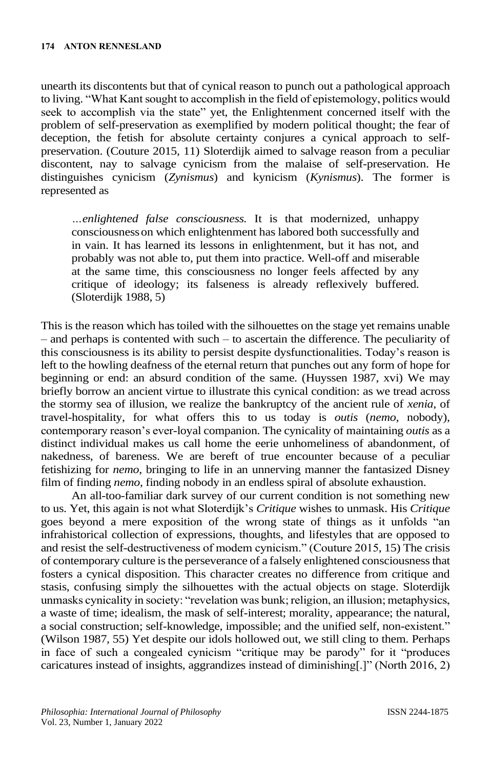unearth its discontents but that of cynical reason to punch out a pathological approach to living. "What Kant sought to accomplish in the field of epistemology, politics would seek to accomplish via the state" yet, the Enlightenment concerned itself with the problem of self-preservation as exemplified by modern political thought; the fear of deception, the fetish for absolute certainty conjures a cynical approach to selfpreservation. (Couture 2015, 11) Sloterdijk aimed to salvage reason from a peculiar discontent, nay to salvage cynicism from the malaise of self-preservation. He distinguishes cynicism (*Zynismus*) and kynicism (*Kynismus*). The former is represented as

*…enlightened false consciousness.* It is that modernized, unhappy consciousnesson which enlightenment has labored both successfully and in vain. It has learned its lessons in enlightenment, but it has not, and probably was not able to, put them into practice. Well-off and miserable at the same time, this consciousness no longer feels affected by any critique of ideology; its falseness is already reflexively buffered. (Sloterdijk 1988, 5)

This is the reason which has toiled with the silhouettes on the stage yet remains unable – and perhaps is contented with such – to ascertain the difference. The peculiarity of this consciousness is its ability to persist despite dysfunctionalities. Today's reason is left to the howling deafness of the eternal return that punches out any form of hope for beginning or end: an absurd condition of the same. (Huyssen 1987, xvi) We may briefly borrow an ancient virtue to illustrate this cynical condition: as we tread across the stormy sea of illusion, we realize the bankruptcy of the ancient rule of *xenia*, of travel-hospitality, for what offers this to us today is *outis* (*nemo,* nobody), contemporary reason's ever-loyal companion. The cynicality of maintaining *outis* as a distinct individual makes us call home the eerie unhomeliness of abandonment, of nakedness, of bareness. We are bereft of true encounter because of a peculiar fetishizing for *nemo*, bringing to life in an unnerving manner the fantasized Disney film of finding *nemo*, finding nobody in an endless spiral of absolute exhaustion.

An all-too-familiar dark survey of our current condition is not something new to us. Yet, this again is not what Sloterdijk's *Critique* wishes to unmask. His *Critique* goes beyond a mere exposition of the wrong state of things as it unfolds "an infrahistorical collection of expressions, thoughts, and lifestyles that are opposed to and resist the self-destructiveness of modem cynicism." (Couture 2015, 15) The crisis of contemporary culture is the perseverance of a falsely enlightened consciousness that fosters a cynical disposition. This character creates no difference from critique and stasis, confusing simply the silhouettes with the actual objects on stage. Sloterdijk unmasks cynicality in society: "revelation was bunk; religion, an illusion; metaphysics, a waste of time; idealism, the mask of self-interest; morality, appearance; the natural, a social construction; self-knowledge, impossible; and the unified self, non-existent." (Wilson 1987, 55) Yet despite our idols hollowed out, we still cling to them. Perhaps in face of such a congealed cynicism "critique may be parody" for it "produces caricatures instead of insights, aggrandizes instead of diminishing[.]" (North 2016, 2)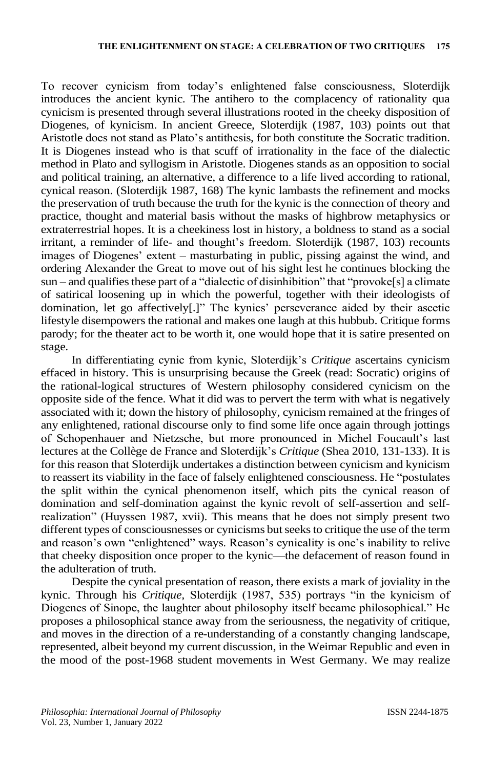To recover cynicism from today's enlightened false consciousness, Sloterdijk introduces the ancient kynic. The antihero to the complacency of rationality qua cynicism is presented through several illustrations rooted in the cheeky disposition of Diogenes, of kynicism. In ancient Greece, Sloterdijk (1987, 103) points out that Aristotle does not stand as Plato's antithesis, for both constitute the Socratic tradition. It is Diogenes instead who is that scuff of irrationality in the face of the dialectic method in Plato and syllogism in Aristotle. Diogenes stands as an opposition to social and political training, an alternative, a difference to a life lived according to rational, cynical reason. (Sloterdijk 1987, 168) The kynic lambasts the refinement and mocks the preservation of truth because the truth for the kynic is the connection of theory and practice, thought and material basis without the masks of highbrow metaphysics or extraterrestrial hopes. It is a cheekiness lost in history, a boldness to stand as a social irritant, a reminder of life- and thought's freedom. Sloterdijk (1987, 103) recounts images of Diogenes' extent – masturbating in public, pissing against the wind, and ordering Alexander the Great to move out of his sight lest he continues blocking the sun – and qualifies these part of a "dialectic of disinhibition" that "provoke[s] a climate of satirical loosening up in which the powerful, together with their ideologists of domination, let go affectively[.]" The kynics' perseverance aided by their ascetic lifestyle disempowers the rational and makes one laugh at this hubbub. Critique forms parody; for the theater act to be worth it, one would hope that it is satire presented on stage.

In differentiating cynic from kynic, Sloterdijk's *Critique* ascertains cynicism effaced in history. This is unsurprising because the Greek (read: Socratic) origins of the rational-logical structures of Western philosophy considered cynicism on the opposite side of the fence. What it did was to pervert the term with what is negatively associated with it; down the history of philosophy, cynicism remained at the fringes of any enlightened, rational discourse only to find some life once again through jottings of Schopenhauer and Nietzsche, but more pronounced in Michel Foucault's last lectures at the Collège de France and Sloterdijk's *Critique* (Shea 2010, 131-133). It is for this reason that Sloterdijk undertakes a distinction between cynicism and kynicism to reassert its viability in the face of falsely enlightened consciousness. He "postulates the split within the cynical phenomenon itself, which pits the cynical reason of domination and self-domination against the kynic revolt of self-assertion and selfrealization" (Huyssen 1987, xvii). This means that he does not simply present two different types of consciousnesses or cynicisms but seeks to critique the use of the term and reason's own "enlightened" ways. Reason's cynicality is one's inability to relive that cheeky disposition once proper to the kynic—the defacement of reason found in the adulteration of truth.

Despite the cynical presentation of reason, there exists a mark of joviality in the kynic. Through his *Critique,* Sloterdijk (1987, 535) portrays "in the kynicism of Diogenes of Sinope, the laughter about philosophy itself became philosophical." He proposes a philosophical stance away from the seriousness, the negativity of critique, and moves in the direction of a re-understanding of a constantly changing landscape, represented, albeit beyond my current discussion, in the Weimar Republic and even in the mood of the post-1968 student movements in West Germany. We may realize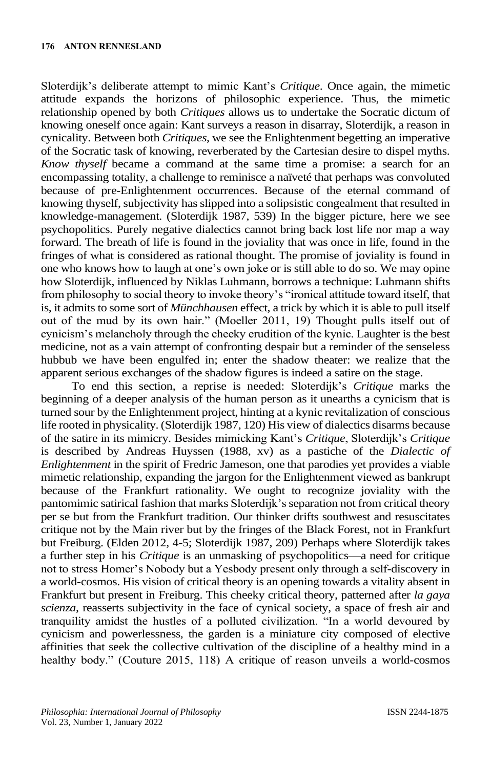Sloterdijk's deliberate attempt to mimic Kant's *Critique*. Once again, the mimetic attitude expands the horizons of philosophic experience. Thus, the mimetic relationship opened by both *Critiques* allows us to undertake the Socratic dictum of knowing oneself once again: Kant surveys a reason in disarray, Sloterdijk, a reason in cynicality. Between both *Critiques*, we see the Enlightenment begetting an imperative of the Socratic task of knowing, reverberated by the Cartesian desire to dispel myths. *Know thyself* became a command at the same time a promise: a search for an encompassing totality, a challenge to reminisce a naïveté that perhaps was convoluted because of pre-Enlightenment occurrences. Because of the eternal command of knowing thyself, subjectivity has slipped into a solipsistic congealment that resulted in knowledge-management. (Sloterdijk 1987, 539) In the bigger picture, here we see psychopolitics. Purely negative dialectics cannot bring back lost life nor map a way forward. The breath of life is found in the joviality that was once in life, found in the fringes of what is considered as rational thought. The promise of joviality is found in one who knows how to laugh at one's own joke or is still able to do so. We may opine how Sloterdijk, influenced by Niklas Luhmann, borrows a technique: Luhmann shifts from philosophy to social theory to invoke theory's "ironical attitude toward itself, that is, it admits to some sort of *Münchhausen* effect, a trick by which it is able to pull itself out of the mud by its own hair." (Moeller 2011, 19) Thought pulls itself out of cynicism's melancholy through the cheeky erudition of the kynic. Laughter is the best medicine, not as a vain attempt of confronting despair but a reminder of the senseless hubbub we have been engulfed in; enter the shadow theater: we realize that the apparent serious exchanges of the shadow figures is indeed a satire on the stage.

To end this section, a reprise is needed: Sloterdijk's *Critique* marks the beginning of a deeper analysis of the human person as it unearths a cynicism that is turned sour by the Enlightenment project, hinting at a kynic revitalization of conscious life rooted in physicality. (Sloterdijk 1987, 120) His view of dialectics disarms because of the satire in its mimicry. Besides mimicking Kant's *Critique*, Sloterdijk's *Critique*  is described by Andreas Huyssen (1988, xv) as a pastiche of the *Dialectic of Enlightenment* in the spirit of Fredric Jameson, one that parodies yet provides a viable mimetic relationship, expanding the jargon for the Enlightenment viewed as bankrupt because of the Frankfurt rationality. We ought to recognize joviality with the pantomimic satirical fashion that marks Sloterdijk's separation not from critical theory per se but from the Frankfurt tradition. Our thinker drifts southwest and resuscitates critique not by the Main river but by the fringes of the Black Forest, not in Frankfurt but Freiburg. (Elden 2012, 4-5; Sloterdijk 1987, 209) Perhaps where Sloterdijk takes a further step in his *Critique* is an unmasking of psychopolitics—a need for critique not to stress Homer's Nobody but a Yesbody present only through a self-discovery in a world-cosmos. His vision of critical theory is an opening towards a vitality absent in Frankfurt but present in Freiburg. This cheeky critical theory, patterned after *la gaya scienza*, reasserts subjectivity in the face of cynical society, a space of fresh air and tranquility amidst the hustles of a polluted civilization. "In a world devoured by cynicism and powerlessness, the garden is a miniature city composed of elective affinities that seek the collective cultivation of the discipline of a healthy mind in a healthy body." (Couture 2015, 118) A critique of reason unveils a world-cosmos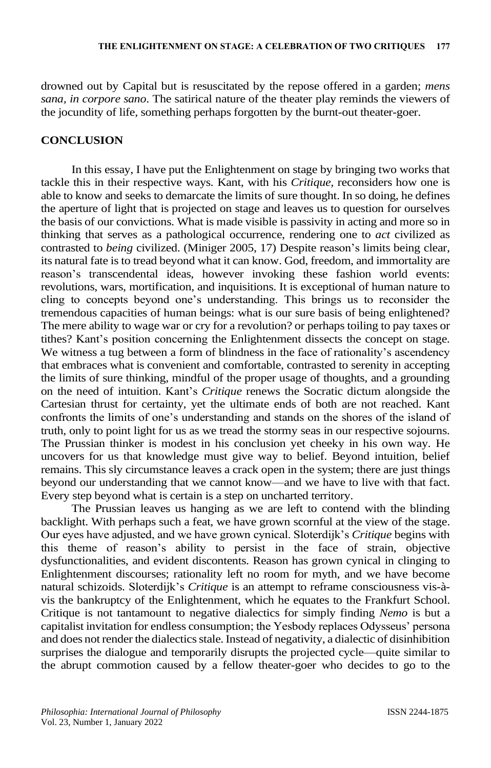drowned out by Capital but is resuscitated by the repose offered in a garden; *mens sana, in corpore sano*. The satirical nature of the theater play reminds the viewers of the jocundity of life, something perhaps forgotten by the burnt-out theater-goer.

#### **CONCLUSION**

In this essay, I have put the Enlightenment on stage by bringing two works that tackle this in their respective ways. Kant, with his *Critique,* reconsiders how one is able to know and seeks to demarcate the limits of sure thought. In so doing, he defines the aperture of light that is projected on stage and leaves us to question for ourselves the basis of our convictions. What is made visible is passivity in acting and more so in thinking that serves as a pathological occurrence, rendering one to *act* civilized as contrasted to *being* civilized. (Miniger 2005, 17) Despite reason's limits being clear, its natural fate is to tread beyond what it can know. God, freedom, and immortality are reason's transcendental ideas, however invoking these fashion world events: revolutions, wars, mortification, and inquisitions. It is exceptional of human nature to cling to concepts beyond one's understanding. This brings us to reconsider the tremendous capacities of human beings: what is our sure basis of being enlightened? The mere ability to wage war or cry for a revolution? or perhaps toiling to pay taxes or tithes? Kant's position concerning the Enlightenment dissects the concept on stage. We witness a tug between a form of blindness in the face of rationality's ascendency that embraces what is convenient and comfortable, contrasted to serenity in accepting the limits of sure thinking, mindful of the proper usage of thoughts, and a grounding on the need of intuition. Kant's *Critique* renews the Socratic dictum alongside the Cartesian thrust for certainty, yet the ultimate ends of both are not reached. Kant confronts the limits of one's understanding and stands on the shores of the island of truth, only to point light for us as we tread the stormy seas in our respective sojourns. The Prussian thinker is modest in his conclusion yet cheeky in his own way. He uncovers for us that knowledge must give way to belief. Beyond intuition, belief remains. This sly circumstance leaves a crack open in the system; there are just things beyond our understanding that we cannot know—and we have to live with that fact. Every step beyond what is certain is a step on uncharted territory.

The Prussian leaves us hanging as we are left to contend with the blinding backlight. With perhaps such a feat, we have grown scornful at the view of the stage. Our eyes have adjusted, and we have grown cynical. Sloterdijk's *Critique* begins with this theme of reason's ability to persist in the face of strain, objective dysfunctionalities, and evident discontents. Reason has grown cynical in clinging to Enlightenment discourses; rationality left no room for myth, and we have become natural schizoids. Sloterdijk's *Critique* is an attempt to reframe consciousness vis-àvis the bankruptcy of the Enlightenment, which he equates to the Frankfurt School. Critique is not tantamount to negative dialectics for simply finding *Nemo* is but a capitalist invitation for endless consumption; the Yesbody replaces Odysseus' persona and does not render the dialectics stale. Instead of negativity, a dialectic of disinhibition surprises the dialogue and temporarily disrupts the projected cycle—quite similar to the abrupt commotion caused by a fellow theater-goer who decides to go to the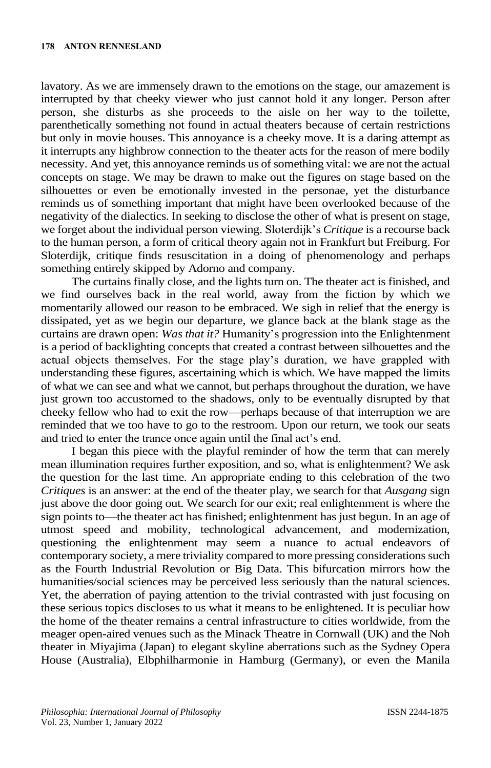lavatory. As we are immensely drawn to the emotions on the stage, our amazement is interrupted by that cheeky viewer who just cannot hold it any longer. Person after person, she disturbs as she proceeds to the aisle on her way to the toilette, parenthetically something not found in actual theaters because of certain restrictions but only in movie houses. This annoyance is a cheeky move. It is a daring attempt as it interrupts any highbrow connection to the theater acts for the reason of mere bodily necessity. And yet, this annoyance reminds us of something vital: we are not the actual concepts on stage. We may be drawn to make out the figures on stage based on the silhouettes or even be emotionally invested in the personae, yet the disturbance reminds us of something important that might have been overlooked because of the negativity of the dialectics. In seeking to disclose the other of what is present on stage, we forget about the individual person viewing. Sloterdijk's *Critique* is a recourse back to the human person, a form of critical theory again not in Frankfurt but Freiburg. For Sloterdijk, critique finds resuscitation in a doing of phenomenology and perhaps something entirely skipped by Adorno and company.

The curtains finally close, and the lights turn on. The theater act is finished, and we find ourselves back in the real world, away from the fiction by which we momentarily allowed our reason to be embraced. We sigh in relief that the energy is dissipated, yet as we begin our departure, we glance back at the blank stage as the curtains are drawn open: *Was that it?* Humanity's progression into the Enlightenment is a period of backlighting concepts that created a contrast between silhouettes and the actual objects themselves. For the stage play's duration, we have grappled with understanding these figures, ascertaining which is which. We have mapped the limits of what we can see and what we cannot, but perhaps throughout the duration, we have just grown too accustomed to the shadows, only to be eventually disrupted by that cheeky fellow who had to exit the row—perhaps because of that interruption we are reminded that we too have to go to the restroom. Upon our return, we took our seats and tried to enter the trance once again until the final act's end.

I began this piece with the playful reminder of how the term that can merely mean illumination requires further exposition, and so, what is enlightenment? We ask the question for the last time. An appropriate ending to this celebration of the two *Critiques* is an answer: at the end of the theater play, we search for that *Ausgang* sign just above the door going out. We search for our exit; real enlightenment is where the sign points to—the theater act has finished; enlightenment has just begun. In an age of utmost speed and mobility, technological advancement, and modernization, questioning the enlightenment may seem a nuance to actual endeavors of contemporary society, a mere triviality compared to more pressing considerations such as the Fourth Industrial Revolution or Big Data. This bifurcation mirrors how the humanities/social sciences may be perceived less seriously than the natural sciences. Yet, the aberration of paying attention to the trivial contrasted with just focusing on these serious topics discloses to us what it means to be enlightened. It is peculiar how the home of the theater remains a central infrastructure to cities worldwide, from the meager open-aired venues such as the Minack Theatre in Cornwall (UK) and the Noh theater in Miyajima (Japan) to elegant skyline aberrations such as the Sydney Opera House (Australia), Elbphilharmonie in Hamburg (Germany), or even the Manila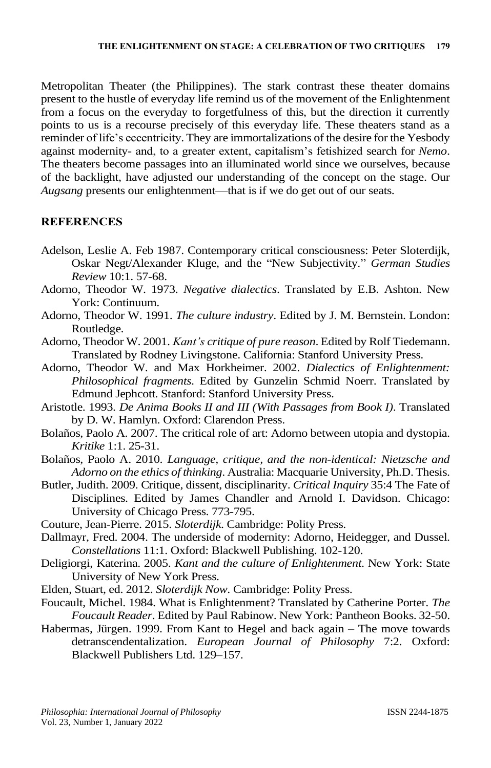Metropolitan Theater (the Philippines). The stark contrast these theater domains present to the hustle of everyday life remind us of the movement of the Enlightenment from a focus on the everyday to forgetfulness of this, but the direction it currently points to us is a recourse precisely of this everyday life. These theaters stand as a reminder of life's eccentricity. They are immortalizations of the desire for the Yesbody against modernity- and, to a greater extent, capitalism's fetishized search for *Nemo*. The theaters become passages into an illuminated world since we ourselves, because of the backlight, have adjusted our understanding of the concept on the stage. Our *Augsang* presents our enlightenment—that is if we do get out of our seats.

### **REFERENCES**

- Adelson, Leslie A. Feb 1987. Contemporary critical consciousness: Peter Sloterdijk, Oskar Negt/Alexander Kluge, and the "New Subjectivity." *German Studies Review* 10:1. 57-68.
- Adorno, Theodor W. 1973. *Negative dialectics*. Translated by E.B. Ashton. New York: Continuum.
- Adorno, Theodor W. 1991. *The culture industry*. Edited by J. M. Bernstein. London: Routledge.
- Adorno, Theodor W. 2001. *Kant's critique of pure reason*. Edited by Rolf Tiedemann. Translated by Rodney Livingstone. California: Stanford University Press.
- Adorno, Theodor W. and Max Horkheimer. 2002. *Dialectics of Enlightenment: Philosophical fragments*. Edited by Gunzelin Schmid Noerr. Translated by Edmund Jephcott. Stanford: Stanford University Press.
- Aristotle. 1993. *De Anima Books II and III (With Passages from Book I)*. Translated by D. W. Hamlyn. Oxford: Clarendon Press.
- Bolaños, Paolo A. 2007. The critical role of art: Adorno between utopia and dystopia. *Kritike* 1:1. 25-31.
- Bolaños, Paolo A. 2010. *Language, critique, and the non-identical: Nietzsche and Adorno on the ethics of thinking*. Australia: Macquarie University, Ph.D. Thesis.
- Butler, Judith. 2009. Critique, dissent, disciplinarity. *Critical Inquiry* 35:4 The Fate of Disciplines. Edited by James Chandler and Arnold I. Davidson. Chicago: University of Chicago Press. 773-795.
- Couture, Jean-Pierre. 2015. *Sloterdijk*. Cambridge: Polity Press.
- Dallmayr, Fred. 2004. The underside of modernity: Adorno, Heidegger, and Dussel. *Constellations* 11:1. Oxford: Blackwell Publishing. 102-120.
- Deligiorgi, Katerina. 2005. *Kant and the culture of Enlightenment*. New York: State University of New York Press.
- Elden, Stuart, ed. 2012. *Sloterdijk Now*. Cambridge: Polity Press.
- Foucault, Michel. 1984. What is Enlightenment? Translated by Catherine Porter. *The Foucault Reader*. Edited by Paul Rabinow. New York: Pantheon Books. 32-50.
- Habermas, Jürgen. 1999. From Kant to Hegel and back again The move towards detranscendentalization. *European Journal of Philosophy* 7:2. Oxford: Blackwell Publishers Ltd. 129–157.